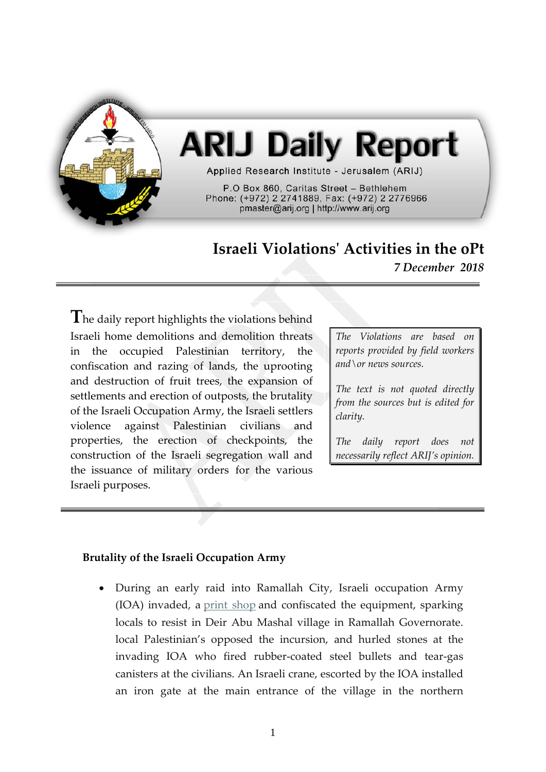

# **ARIJ Daily Report**

Applied Research Institute - Jerusalem (ARIJ)

P.O Box 860, Caritas Street - Bethlehem Phone: (+972) 2 2741889, Fax: (+972) 2 2776966 pmaster@arij.org | http://www.arij.org

## **Israeli Violations' Activities in the oPt**

*7 December 2018*

**T**he daily report highlights the violations behind Israeli home demolitions and demolition threats in the occupied Palestinian territory, the confiscation and razing of lands, the uprooting and destruction of fruit trees, the expansion of settlements and erection of outposts, the brutality of the Israeli Occupation Army, the Israeli settlers violence against Palestinian civilians and properties, the erection of checkpoints, the construction of the Israeli segregation wall and the issuance of military orders for the various Israeli purposes.

*The Violations are based on reports provided by field workers and\or news sources.*

*The text is not quoted directly from the sources but is edited for clarity.*

*The daily report does not necessarily reflect ARIJ's opinion.*

#### **Brutality of the Israeli Occupation Army**

• During an early raid into Ramallah City, Israeli occupation Army (IOA) invaded, a [print shop](http://imemc.org/article/undercover-soldiers-abduct-a-palestinian-near-jenin/) and confiscated the equipment, sparking locals to resist in Deir Abu Mashal village in Ramallah Governorate. local Palestinian's opposed the incursion, and hurled stones at the invading IOA who fired rubber-coated steel bullets and tear-gas canisters at the civilians. An Israeli crane, escorted by the IOA installed an iron gate at the main entrance of the village in the northern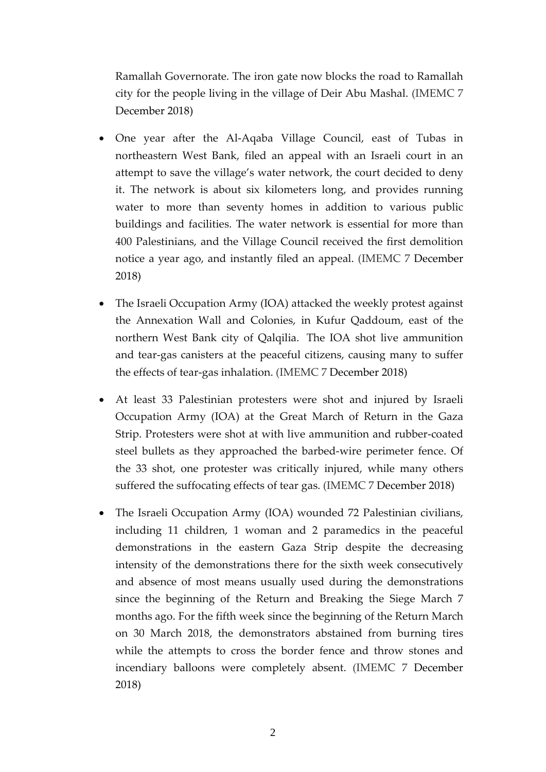Ramallah Governorate. The iron gate now blocks the road to Ramallah city for the people living in the village of Deir Abu Mashal. (IMEMC 7 December 2018)

- One year after the Al-Aqaba Village Council, east of Tubas in northeastern West Bank, filed an appeal with an Israeli court in an attempt to save the village's water network, the court decided to deny it. The network is about six kilometers long, and provides running water to more than seventy homes in addition to various public buildings and facilities. The water network is essential for more than 400 Palestinians, and the Village Council received the first demolition notice a year ago, and instantly filed an appeal. (IMEMC 7 December 2018)
- The Israeli Occupation Army (IOA) attacked the weekly protest against the Annexation Wall and Colonies, in Kufur Qaddoum, east of the northern West Bank city of Qalqilia. The IOA shot live ammunition and tear-gas canisters at the peaceful citizens, causing many to suffer the effects of tear-gas inhalation. (IMEMC 7 December 2018)
- At least 33 Palestinian protesters were shot and injured by Israeli Occupation Army (IOA) at the Great March of Return in the Gaza Strip. Protesters were shot at with live ammunition and rubber-coated steel bullets as they approached the barbed-wire perimeter fence. Of the 33 shot, one protester was critically injured, while many others suffered the suffocating effects of tear gas. (IMEMC 7 December 2018)
- The Israeli Occupation Army (IOA) wounded 72 Palestinian civilians, including 11 children, 1 woman and 2 paramedics in the peaceful demonstrations in the eastern Gaza Strip despite the decreasing intensity of the demonstrations there for the sixth week consecutively and absence of most means usually used during the demonstrations since the beginning of the Return and Breaking the Siege March 7 months ago. For the fifth week since the beginning of the Return March on 30 March 2018, the demonstrators abstained from burning tires while the attempts to cross the border fence and throw stones and incendiary balloons were completely absent. (IMEMC 7 December 2018)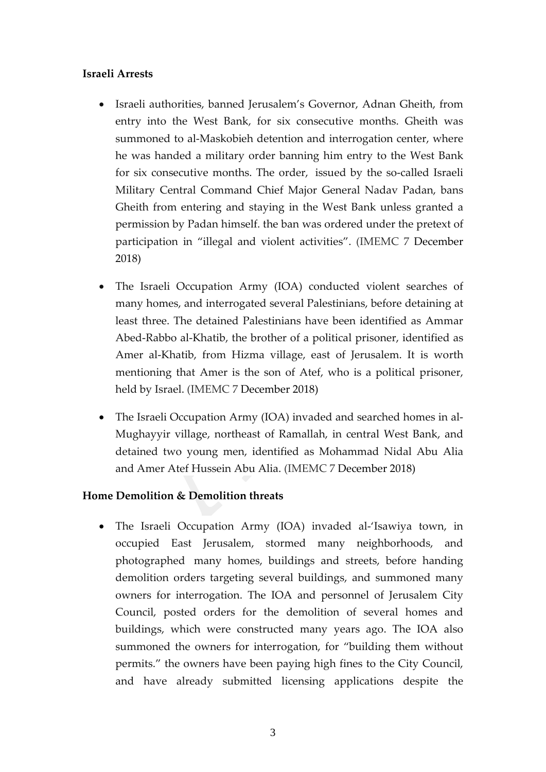### **Israeli Arrests**

- Israeli authorities, banned Jerusalem's Governor, Adnan Gheith, from entry into the West Bank, for six consecutive months. Gheith was summoned to al-Maskobieh detention and interrogation center, where he was handed a military order banning him entry to the West Bank for six consecutive months. The order, issued by the so-called Israeli Military Central Command Chief Major General Nadav Padan, bans Gheith from entering and staying in the West Bank unless granted a permission by Padan himself. the ban was ordered under the pretext of participation in "illegal and violent activities". (IMEMC 7 December 2018)
- The Israeli Occupation Army (IOA) conducted violent searches of many homes, and interrogated several Palestinians, before detaining at least three. The detained Palestinians have been identified as Ammar Abed-Rabbo al-Khatib, the brother of a political prisoner, identified as Amer al-Khatib, from Hizma village, east of Jerusalem. It is worth mentioning that Amer is the son of Atef, who is a political prisoner, held by Israel. (IMEMC 7 December 2018)
- The Israeli Occupation Army (IOA) invaded and searched homes in al-Mughayyir village, northeast of Ramallah, in central West Bank, and detained two young men, identified as Mohammad Nidal Abu Alia and Amer Atef Hussein Abu Alia. (IMEMC 7 December 2018)

#### **Home Demolition & Demolition threats**

• The Israeli Occupation Army (IOA) invaded al-'Isawiya town, in occupied East Jerusalem, stormed many neighborhoods, and photographed many homes, buildings and streets, before handing demolition orders targeting several buildings, and summoned many owners for interrogation. The IOA and personnel of Jerusalem City Council, posted orders for the demolition of several homes and buildings, which were constructed many years ago. The IOA also summoned the owners for interrogation, for "building them without permits." the owners have been paying high fines to the City Council, and have already submitted licensing applications despite the